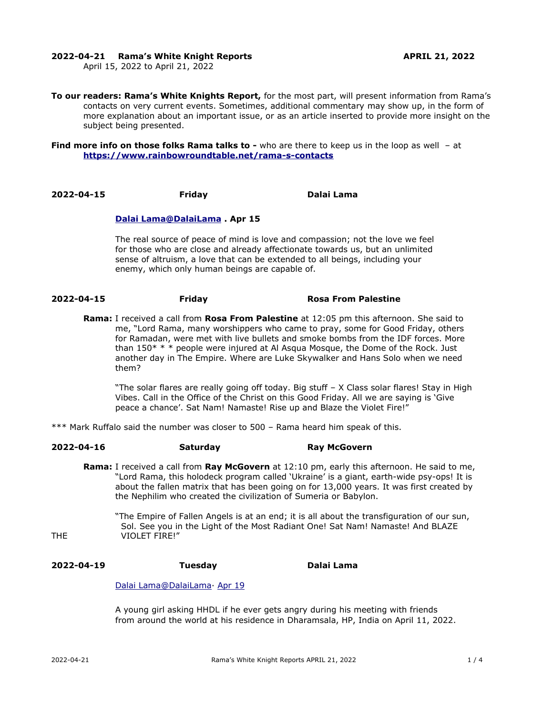### **2022-04-21 Rama's White Knight Reports APRIL 21, 2022**

April 15, 2022 to April 21, 2022

**To our readers: Rama's White Knights Report,** for the most part, will present information from Rama's contacts on very current events. Sometimes, additional commentary may show up, in the form of more explanation about an important issue, or as an article inserted to provide more insight on the subject being presented.

**Find more info on those folks Rama talks to -** who are there to keep us in the loop as well - at **<https://www.rainbowroundtable.net/rama-s-contacts>**

**2022-04-15 Friday Dalai Lama**

## **[Dalai](https://twitter.com/DalaiLama) [Lama @DalaiLama](mailto:Lama@DalaiLama) . Apr 15**

The real source of peace of mind is love and compassion; not the love we feel for those who are close and already affectionate towards us, but an unlimited sense of altruism, a love that can be extended to all beings, including your enemy, which only human beings are capable of.

### **2022-04-15 Friday Rosa From Palestine**

**Rama:** I received a call from **Rosa From Palestine** at 12:05 pm this afternoon. She said to me, "Lord Rama, many worshippers who came to pray, some for Good Friday, others for Ramadan, were met with live bullets and smoke bombs from the IDF forces. More than  $150^*$  \* \* people were injured at Al Asqua Mosque, the Dome of the Rock. Just another day in The Empire. Where are Luke Skywalker and Hans Solo when we need them?

"The solar flares are really going off today. Big stuff – X Class solar flares! Stay in High Vibes. Call in the Office of the Christ on this Good Friday. All we are saying is 'Give peace a chance'. Sat Nam! Namaste! Rise up and Blaze the Violet Fire!"

\*\*\* Mark Ruffalo said the number was closer to 500 – Rama heard him speak of this.

### **2022-04-16 Saturday Ray McGovern**

**Rama:** I received a call from **Ray McGovern** at 12:10 pm, early this afternoon. He said to me, "Lord Rama, this holodeck program called 'Ukraine' is a giant, earth-wide psy-ops! It is about the fallen matrix that has been going on for 13,000 years. It was first created by the Nephilim who created the civilization of Sumeria or Babylon.

"The Empire of Fallen Angels is at an end; it is all about the transfiguration of our sun, Sol. See you in the Light of the Most Radiant One! Sat Nam! Namaste! And BLAZE THE VIOLET FIRE!"

# **2022-04-19 Tuesday Dalai Lama**

### Dalai Lama@DalaiLama [Apr 19](https://twitter.com/DalaiLama/status/1516348472257314819)

A young girl asking HHDL if he ever gets angry during his meeting with friends from around the world at his residence in Dharamsala, HP, India on April 11, 2022.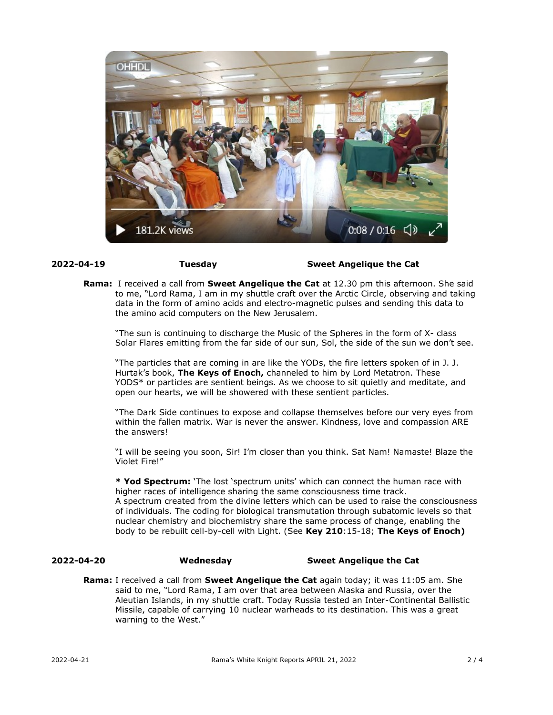

## **2022-04-19 Tuesday Sweet Angelique the Cat**

**Rama:** I received a call from **Sweet Angelique the Cat** at 12.30 pm this afternoon. She said to me, "Lord Rama, I am in my shuttle craft over the Arctic Circle, observing and taking data in the form of amino acids and electro-magnetic pulses and sending this data to the amino acid computers on the New Jerusalem.

"The sun is continuing to discharge the Music of the Spheres in the form of X- class Solar Flares emitting from the far side of our sun, Sol, the side of the sun we don't see.

"The particles that are coming in are like the YODs, the fire letters spoken of in J. J. Hurtak's book, **The Keys of Enoch,** channeled to him by Lord Metatron. These YODS\* or particles are sentient beings. As we choose to sit quietly and meditate, and open our hearts, we will be showered with these sentient particles.

"The Dark Side continues to expose and collapse themselves before our very eyes from within the fallen matrix. War is never the answer. Kindness, love and compassion ARE the answers!

"I will be seeing you soon, Sir! I'm closer than you think. Sat Nam! Namaste! Blaze the Violet Fire!"

**\* Yod Spectrum:** 'The lost 'spectrum units' which can connect the human race with higher races of intelligence sharing the same consciousness time track. A spectrum created from the divine letters which can be used to raise the consciousness of individuals. The coding for biological transmutation through subatomic levels so that nuclear chemistry and biochemistry share the same process of change, enabling the body to be rebuilt cell-by-cell with Light. (See **Key 210**:15-18; **The Keys of Enoch)**

## **2022-04-20 Wednesday Sweet Angelique the Cat**

**Rama:** I received a call from **Sweet Angelique the Cat** again today; it was 11:05 am. She said to me, "Lord Rama, I am over that area between Alaska and Russia, over the Aleutian Islands, in my shuttle craft. Today Russia tested an Inter-Continental Ballistic Missile, capable of carrying 10 nuclear warheads to its destination. This was a great warning to the West."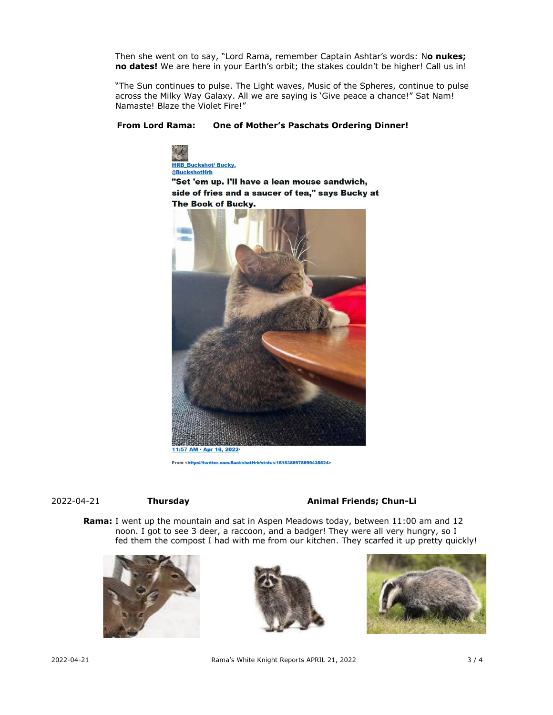Then she went on to say, "Lord Rama, remember Captain Ashtar's words: N**o nukes; no dates!** We are here in your Earth's orbit; the stakes couldn't be higher! Call us in!

"The Sun continues to pulse. The Light waves, Music of the Spheres, continue to pulse across the Milky Way Galaxy. All we are saying is 'Give peace a chance!" Sat Nam! Namaste! Blaze the Violet Fire!"

## **From Lord Rama: One of Mother's Paschats Ordering Dinner!**



From <https://twitter.com/BuckshotHrb/status/1515388978899435524>

# 2022-04-21 **Thursday Animal Friends; Chun-Li**

**Rama:** I went up the mountain and sat in Aspen Meadows today, between 11:00 am and 12 noon. I got to see 3 deer, a raccoon, and a badger! They were all very hungry, so I fed them the compost I had with me from our kitchen. They scarfed it up pretty quickly!